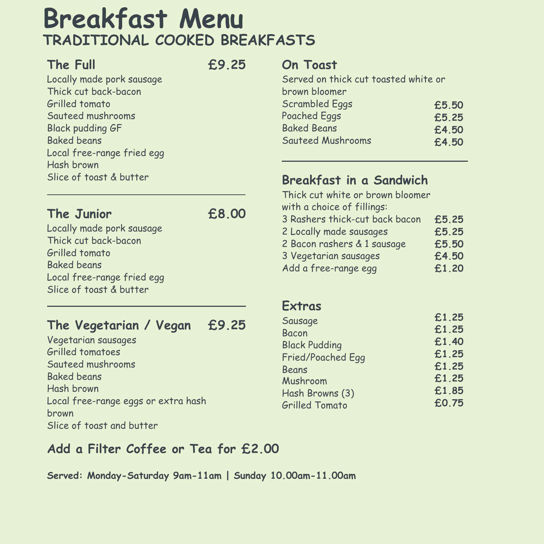# **Breakfast Menu TRADITIONAL COOKED BREAKFASTS**

#### **The Full**

Locally made pork sausage Thick cut back-bacon Grilled tomato Sauteed mushrooms Black pudding GF

Baked beans

Local free-range fried egg Hash brown Slice of toast & butter

**£9.25**

#### **The Junior**

Locally made pork sausage Thick cut back-bacon Grilled tomato Baked beans

#### Local free-range fried egg Slice of toast & butter

## **£8.00**

**The Vegetarian / Vegan** Vegetarian sausages Grilled tomatoes Sauteed mushrooms Baked beans Hash brown Local free-range eggs or extra hash **£9.25**

brown

Slice of toast and butter

#### **Add a Filter Coffee or Tea for £2.00**

#### **Served: Monday-Saturday 9am-11am | Sunday 10.00am-11.00am**

### **On Toast**

Served on thick cut toasted white or brown bloomer Scrambled Eggs Poached Eggs Baked Beans **£5.50 £5.25 £4.50**

#### Sauteed Mushrooms



#### **Breakfast in a Sandwich** Thick cut white or brown bloomer with a choice of fillings: 3 Rashers thick-cut back bacon 2 Locally made sausages 2 Bacon rashers & 1 sausage 3 Vegetarian sausages Add a free-range egg **£5.25 £5.25 £5.50 £4.50 £1.20**

#### **Extras**

Sausage Bacon Black Pudding Fried/Poached Egg Beans Mushroom Hash Browns (3) Grilled Tomato

**£1.25 £1.25 £1.40 £1.25 £1.25 £1.25 £1.85 £0.75**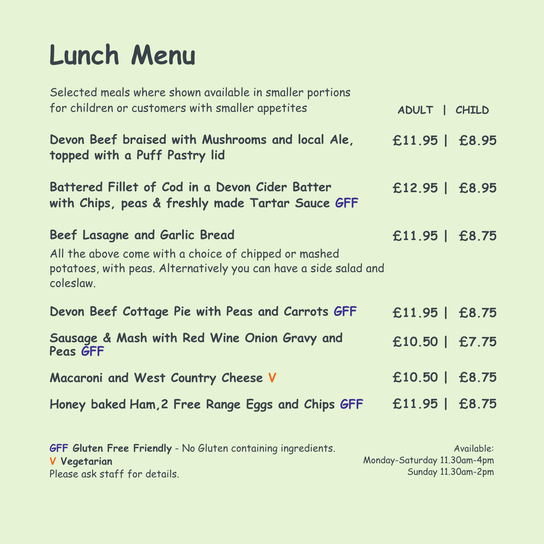# **Lunch Menu**



**£11.95 | £8.75**

**£10.50 | £7.75**



#### **£11.95 | £8.95 Devon Beef braised with Mushrooms and local Ale, topped with a Puff Pastry lid**

Selected meals where shown available in smaller portions for children or customers with smaller appetites

#### **£11.95 | £8.75 Devon Beef Cottage Pie with Peas and Carrots GFF**

**£10.50 | £8.75 Macaroni and West Country Cheese V**

**£11.95 | £8.75 Honey baked Ham,2 Free Range Eggs and Chips GFF**



### **Battered Fillet of Cod in a Devon Cider Batter with Chips, peas & freshly made Tartar Sauce GFF**

**GFF Gluten Free Friendly** - No Gluten containing ingredients. **V Vegetarian** Please ask staff for details. Available: Monday-Saturday 11.30am-4pm Sunday 11.30am-2pm

**Beef Lasagne and Garlic Bread**

#### **Sausage & Mash with Red Wine Onion Gravy and Peas GFF**

All the above come with a choice of chipped or mashed potatoes, with peas. Alternatively you can have a side salad and coleslaw.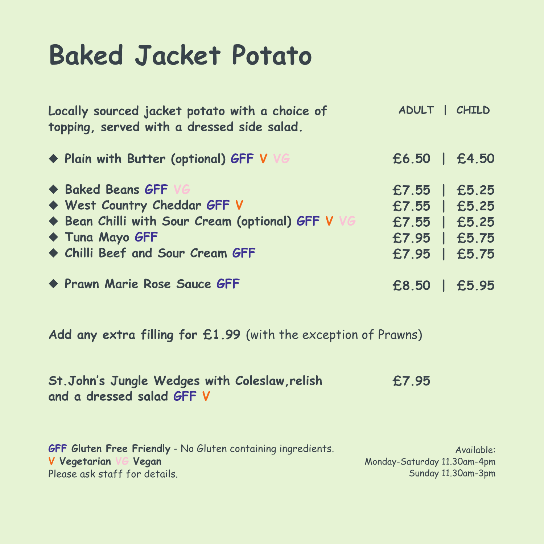# **Baked Jacket Potato**

**Locally sourced jacket potato with a choice of topping, served with a dressed side salad.**

#### u **Plain with Butter (optional) GFF V VG**

u **Baked Beans GFF VG** u **West Country Cheddar GFF V** u **Bean Chilli with Sour Cream (optional) GFF V VG** u **Tuna Mayo GFF** u **Chilli Beef and Sour Cream GFF**



### **Add any extra filling for £1.99** (with the exception of Prawns)

**St.John ' s Jungle Wedges with Coleslaw,relish and a dressed salad GFF V**

> Available: Monday-Saturday 11.30am-4pm Sunday 11.30am-3pm

#### **GFF Gluten Free Friendly** - No Gluten containing ingredients. **V Vegetarian VG Vegan** Please ask staff for details.

**£6.50 | £4.50**





**£7.95**

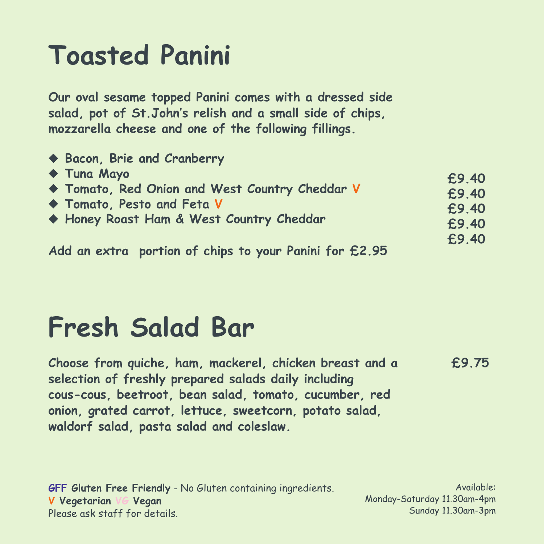# **Toasted Panini**

**£9.40 £9.40 £9.40 £9.40 £9.40**

**Our oval sesame topped Panini comes with a dressed side salad, pot of St.John ' s relish and a small side of chips, mozzarella cheese and one of the following fillings.**

### u **Bacon, Brie and Cranberry** u **Tuna Mayo** u **Tomato, Red Onion and West Country Cheddar V** u **Tomato, Pesto and Feta V** u **Honey Roast Ham & West Country Cheddar**

**Add an extra portion of chips to your Panini for £2.95**

Available: Monday-Saturday 11.30am-4pm Sunday 11.30am-3pm

**GFF Gluten Free Friendly** - No Gluten containing ingredients. **V Vegetarian VG Vegan** Please ask staff for details.

# **Fresh Salad Bar**

**Choose from quiche, ham, mackerel, chicken breast and a selection of freshly prepared salads daily including cous-cous, beetroot, bean salad, tomato, cucumber, red**

#### **onion, grated carrot, lettuce, sweetcorn, potato salad, waldorf salad, pasta salad and coleslaw.**

**£9.75**